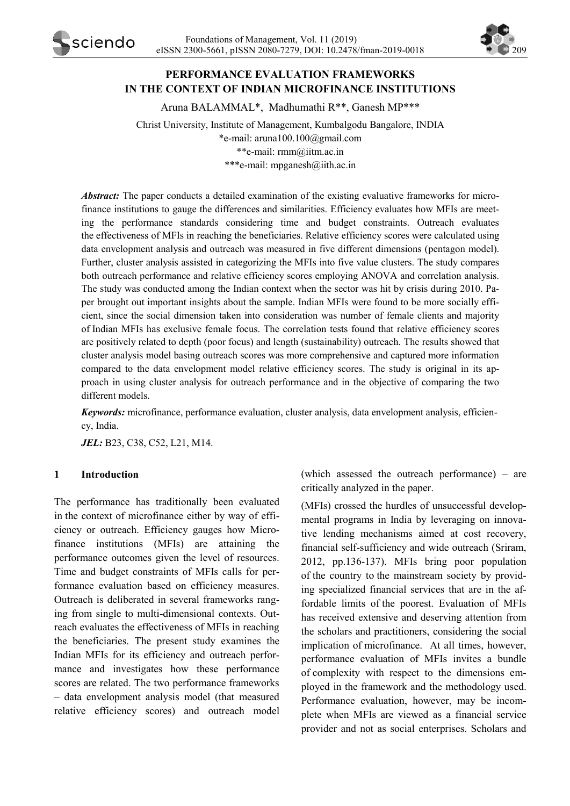

# **PERFORMANCE EVALUATION FRAMEWORKS IN THE CONTEXT OF INDIAN MICROFINANCE INSTITUTIONS**

Aruna BALAMMAL\*, Madhumathi R\*\*, Ganesh MP\*\*\*

Christ University, Institute of Management, Kumbalgodu Bangalore, INDIA \*e-mail: [aruna100.100@gmail.com](mailto:aruna100.100@gmail.com)  \*\*e-mail: rmm@iitm.ac.in \*\*\*e-mail: mpganesh@iith.ac.in

*Abstract:* The paper conducts a detailed examination of the existing evaluative frameworks for microfinance institutions to gauge the differences and similarities. Efficiency evaluates how MFIs are meeting the performance standards considering time and budget constraints. Outreach evaluates the effectiveness of MFIs in reaching the beneficiaries. Relative efficiency scores were calculated using data envelopment analysis and outreach was measured in five different dimensions (pentagon model). Further, cluster analysis assisted in categorizing the MFIs into five value clusters. The study compares both outreach performance and relative efficiency scores employing ANOVA and correlation analysis. The study was conducted among the Indian context when the sector was hit by crisis during 2010. Paper brought out important insights about the sample. Indian MFIs were found to be more socially efficient, since the social dimension taken into consideration was number of female clients and majority of Indian MFIs has exclusive female focus. The correlation tests found that relative efficiency scores are positively related to depth (poor focus) and length (sustainability) outreach. The results showed that cluster analysis model basing outreach scores was more comprehensive and captured more information compared to the data envelopment model relative efficiency scores. The study is original in its approach in using cluster analysis for outreach performance and in the objective of comparing the two different models.

*Keywords:* microfinance, performance evaluation, cluster analysis, data envelopment analysis, efficiency, India.

*JEL:* B23, C38, C52, L21, M14.

### **1 Introduction**

The performance has traditionally been evaluated in the context of microfinance either by way of efficiency or outreach. Efficiency gauges how Microfinance institutions (MFIs) are attaining the performance outcomes given the level of resources. Time and budget constraints of MFIs calls for performance evaluation based on efficiency measures. Outreach is deliberated in several frameworks ranging from single to multi-dimensional contexts. Outreach evaluates the effectiveness of MFIs in reaching the beneficiaries. The present study examines the Indian MFIs for its efficiency and outreach performance and investigates how these performance scores are related. The two performance frameworks – data envelopment analysis model (that measured relative efficiency scores) and outreach model (which assessed the outreach performance) – are critically analyzed in the paper.

(MFIs) crossed the hurdles of unsuccessful developmental programs in India by leveraging on innovative lending mechanisms aimed at cost recovery, financial self-sufficiency and wide outreach (Sriram, 2012, pp.136-137). MFIs bring poor population of the country to the mainstream society by providing specialized financial services that are in the affordable limits of the poorest. Evaluation of MFIs has received extensive and deserving attention from the scholars and practitioners, considering the social implication of microfinance. At all times, however, performance evaluation of MFIs invites a bundle of complexity with respect to the dimensions employed in the framework and the methodology used. Performance evaluation, however, may be incomplete when MFIs are viewed as a financial service provider and not as social enterprises. Scholars and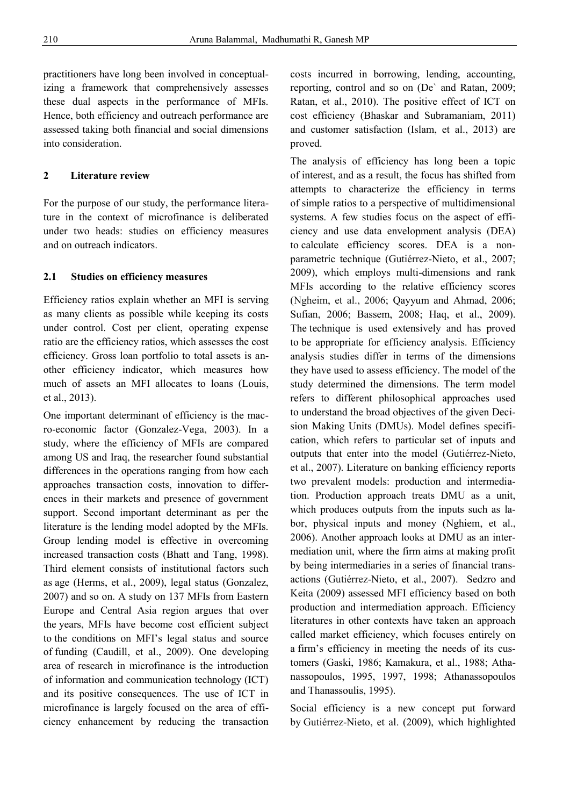practitioners have long been involved in conceptualizing a framework that comprehensively assesses these dual aspects in the performance of MFIs. Hence, both efficiency and outreach performance are assessed taking both financial and social dimensions into consideration.

## **2 Literature review**

For the purpose of our study, the performance literature in the context of microfinance is deliberated under two heads: studies on efficiency measures and on outreach indicators.

### **2.1 Studies on efficiency measures**

Efficiency ratios explain whether an MFI is serving as many clients as possible while keeping its costs under control. Cost per client, operating expense ratio are the efficiency ratios, which assesses the cost efficiency. Gross loan portfolio to total assets is another efficiency indicator, which measures how much of assets an MFI allocates to loans (Louis, et al., 2013).

One important determinant of efficiency is the macro-economic factor (Gonzalez-Vega, 2003). In a study, where the efficiency of MFIs are compared among US and Iraq, the researcher found substantial differences in the operations ranging from how each approaches transaction costs, innovation to differences in their markets and presence of government support. Second important determinant as per the literature is the lending model adopted by the MFIs. Group lending model is effective in overcoming increased transaction costs (Bhatt and Tang, 1998). Third element consists of institutional factors such as age (Herms, et al., 2009), legal status (Gonzalez, 2007) and so on. A study on 137 MFIs from Eastern Europe and Central Asia region argues that over the years, MFIs have become cost efficient subject to the conditions on MFI's legal status and source of funding (Caudill, et al., 2009). One developing area of research in microfinance is the introduction of information and communication technology (ICT) and its positive consequences. The use of ICT in microfinance is largely focused on the area of efficiency enhancement by reducing the transaction

costs incurred in borrowing, lending, accounting, reporting, control and so on (De` and Ratan, 2009; Ratan, et al., 2010). The positive effect of ICT on cost efficiency (Bhaskar and Subramaniam, 2011) and customer satisfaction (Islam, et al., 2013) are proved.

The analysis of efficiency has long been a topic of interest, and as a result, the focus has shifted from attempts to characterize the efficiency in terms of simple ratios to a perspective of multidimensional systems. A few studies focus on the aspect of efficiency and use data envelopment analysis (DEA) to calculate efficiency scores. DEA is a nonparametric technique (Gutiérrez-Nieto, et al., 2007; 2009), which employs multi-dimensions and rank MFIs according to the relative efficiency scores (Ngheim, et al., 2006; Qayyum and Ahmad, 2006; Sufian, 2006; Bassem, 2008; Haq, et al., 2009). The technique is used extensively and has proved to be appropriate for efficiency analysis. Efficiency analysis studies differ in terms of the dimensions they have used to assess efficiency. The model of the study determined the dimensions. The term model refers to different philosophical approaches used to understand the broad objectives of the given Decision Making Units (DMUs). Model defines specification, which refers to particular set of inputs and outputs that enter into the model (Gutiérrez-Nieto, et al., 2007). Literature on banking efficiency reports two prevalent models: production and intermediation. Production approach treats DMU as a unit, which produces outputs from the inputs such as labor, physical inputs and money (Nghiem, et al., 2006). Another approach looks at DMU as an intermediation unit, where the firm aims at making profit by being intermediaries in a series of financial transactions (Gutiérrez-Nieto, et al., 2007). Sedzro and Keita (2009) assessed MFI efficiency based on both production and intermediation approach. Efficiency literatures in other contexts have taken an approach called market efficiency, which focuses entirely on a firm's efficiency in meeting the needs of its customers (Gaski, 1986; Kamakura, et al., 1988; Athanassopoulos, 1995, 1997, 1998; Athanassopoulos and Thanassoulis, 1995).

Social efficiency is a new concept put forward by Gutiérrez-Nieto, et al. (2009), which highlighted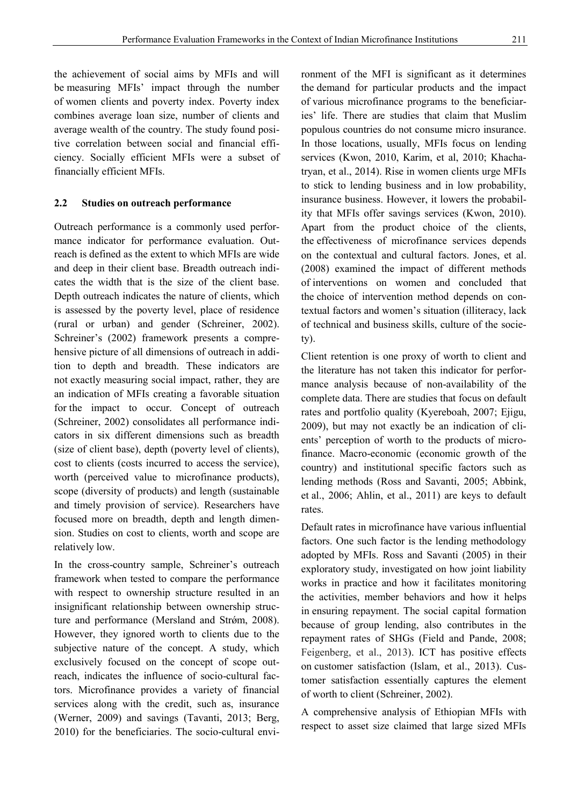the achievement of social aims by MFIs and will be measuring MFIs' impact through the number of women clients and poverty index. Poverty index combines average loan size, number of clients and average wealth of the country. The study found positive correlation between social and financial efficiency. Socially efficient MFIs were a subset of financially efficient MFIs.

#### **2.2 Studies on outreach performance**

Outreach performance is a commonly used performance indicator for performance evaluation. Outreach is defined as the extent to which MFIs are wide and deep in their client base. Breadth outreach indicates the width that is the size of the client base. Depth outreach indicates the nature of clients, which is assessed by the poverty level, place of residence (rural or urban) and gender (Schreiner, 2002). Schreiner's (2002) framework presents a comprehensive picture of all dimensions of outreach in addition to depth and breadth. These indicators are not exactly measuring social impact, rather, they are an indication of MFIs creating a favorable situation for the impact to occur. Concept of outreach (Schreiner, 2002) consolidates all performance indicators in six different dimensions such as breadth (size of client base), depth (poverty level of clients), cost to clients (costs incurred to access the service), worth (perceived value to microfinance products), scope (diversity of products) and length (sustainable and timely provision of service). Researchers have focused more on breadth, depth and length dimension. Studies on cost to clients, worth and scope are relatively low.

In the cross-country sample, Schreiner's outreach framework when tested to compare the performance with respect to ownership structure resulted in an insignificant relationship between ownership structure and performance (Mersland and Strøm, 2008). However, they ignored worth to clients due to the subjective nature of the concept. A study, which exclusively focused on the concept of scope outreach, indicates the influence of socio-cultural factors. Microfinance provides a variety of financial services along with the credit, such as, insurance (Werner, 2009) and savings (Tavanti, 2013; Berg, 2010) for the beneficiaries. The socio-cultural environment of the MFI is significant as it determines the demand for particular products and the impact of various microfinance programs to the beneficiaries' life. There are studies that claim that Muslim populous countries do not consume micro insurance. In those locations, usually, MFIs focus on lending services (Kwon, 2010, Karim, et al, 2010; Khachatryan, et al., 2014). Rise in women clients urge MFIs to stick to lending business and in low probability, insurance business. However, it lowers the probability that MFIs offer savings services (Kwon, 2010). Apart from the product choice of the clients, the effectiveness of microfinance services depends on the contextual and cultural factors. Jones, et al. (2008) examined the impact of different methods of interventions on women and concluded that the choice of intervention method depends on contextual factors and women's situation (illiteracy, lack of technical and business skills, culture of the society).

Client retention is one proxy of worth to client and the literature has not taken this indicator for performance analysis because of non-availability of the complete data. There are studies that focus on default rates and portfolio quality (Kyereboah, 2007; Ejigu, 2009), but may not exactly be an indication of clients' perception of worth to the products of microfinance. Macro-economic (economic growth of the country) and institutional specific factors such as lending methods (Ross and Savanti, 2005; Abbink, et al., 2006; Ahlin, et al., 2011) are keys to default rates.

Default rates in microfinance have various influential factors. One such factor is the lending methodology adopted by MFIs. Ross and Savanti (2005) in their exploratory study, investigated on how joint liability works in practice and how it facilitates monitoring the activities, member behaviors and how it helps in ensuring repayment. The social capital formation because of group lending, also contributes in the repayment rates of SHGs (Field and Pande, 2008; Feigenberg, et al., 2013). ICT has positive effects on customer satisfaction (Islam, et al., 2013). Customer satisfaction essentially captures the element of worth to client (Schreiner, 2002).

A comprehensive analysis of Ethiopian MFIs with respect to asset size claimed that large sized MFIs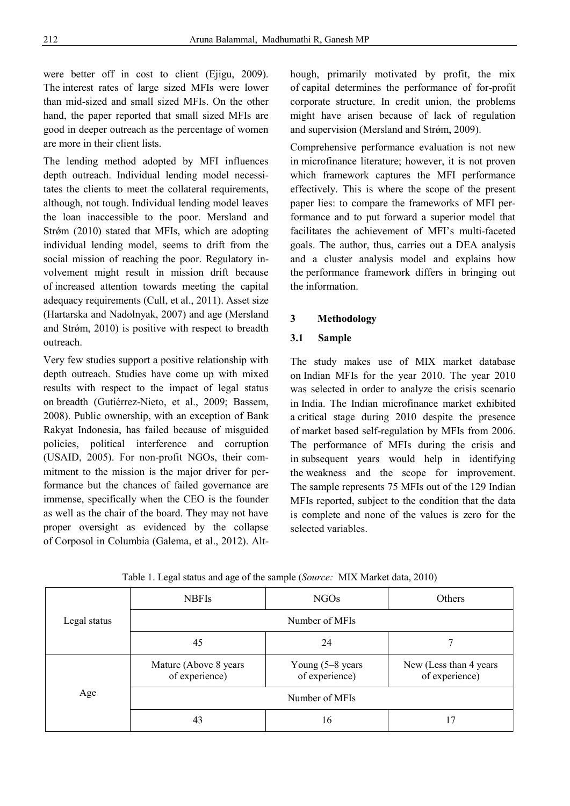were better off in cost to client (Ejigu, 2009). The interest rates of large sized MFIs were lower than mid-sized and small sized MFIs. On the other hand, the paper reported that small sized MFIs are good in deeper outreach as the percentage of women are more in their client lists.

The lending method adopted by MFI influences depth outreach. Individual lending model necessitates the clients to meet the collateral requirements, although, not tough. Individual lending model leaves the loan inaccessible to the poor. Mersland and Strǿm (2010) stated that MFIs, which are adopting individual lending model, seems to drift from the social mission of reaching the poor. Regulatory involvement might result in mission drift because of increased attention towards meeting the capital adequacy requirements (Cull, et al., 2011). Asset size (Hartarska and Nadolnyak, 2007) and age (Mersland and Strǿm, 2010) is positive with respect to breadth outreach.

Very few studies support a positive relationship with depth outreach. Studies have come up with mixed results with respect to the impact of legal status on breadth (Gutiérrez-Nieto, et al., 2009; Bassem, 2008). Public ownership, with an exception of Bank Rakyat Indonesia, has failed because of misguided policies, political interference and corruption (USAID, 2005). For non-profit NGOs, their commitment to the mission is the major driver for performance but the chances of failed governance are immense, specifically when the CEO is the founder as well as the chair of the board. They may not have proper oversight as evidenced by the collapse of Corposol in Columbia (Galema, et al., 2012). Although, primarily motivated by profit, the mix of capital determines the performance of for-profit corporate structure. In credit union, the problems might have arisen because of lack of regulation and supervision (Mersland and Strøm, 2009).

Comprehensive performance evaluation is not new in microfinance literature; however, it is not proven which framework captures the MFI performance effectively. This is where the scope of the present paper lies: to compare the frameworks of MFI performance and to put forward a superior model that facilitates the achievement of MFI's multi-faceted goals. The author, thus, carries out a DEA analysis and a cluster analysis model and explains how the performance framework differs in bringing out the information.

## **3 Methodology**

#### **3.1 Sample**

The study makes use of MIX market database on Indian MFIs for the year 2010. The year 2010 was selected in order to analyze the crisis scenario in India. The Indian microfinance market exhibited a critical stage during 2010 despite the presence of market based self-regulation by MFIs from 2006. The performance of MFIs during the crisis and in subsequent years would help in identifying the weakness and the scope for improvement. The sample represents 75 MFIs out of the 129 Indian MFIs reported, subject to the condition that the data is complete and none of the values is zero for the selected variables.

|              | <b>NBFIs</b>                             | <b>NGOs</b>                          | <b>Others</b>                             |  |  |  |
|--------------|------------------------------------------|--------------------------------------|-------------------------------------------|--|--|--|
| Legal status | Number of MFIs                           |                                      |                                           |  |  |  |
|              | 45                                       | 24                                   |                                           |  |  |  |
|              | Mature (Above 8 years)<br>of experience) | Young $(5-8$ years<br>of experience) | New (Less than 4 years)<br>of experience) |  |  |  |
| Age          |                                          | Number of MFIs                       |                                           |  |  |  |
|              | 43                                       | 16                                   |                                           |  |  |  |

Table 1. Legal status and age of the sample (*Source:* MIX Market data, 2010)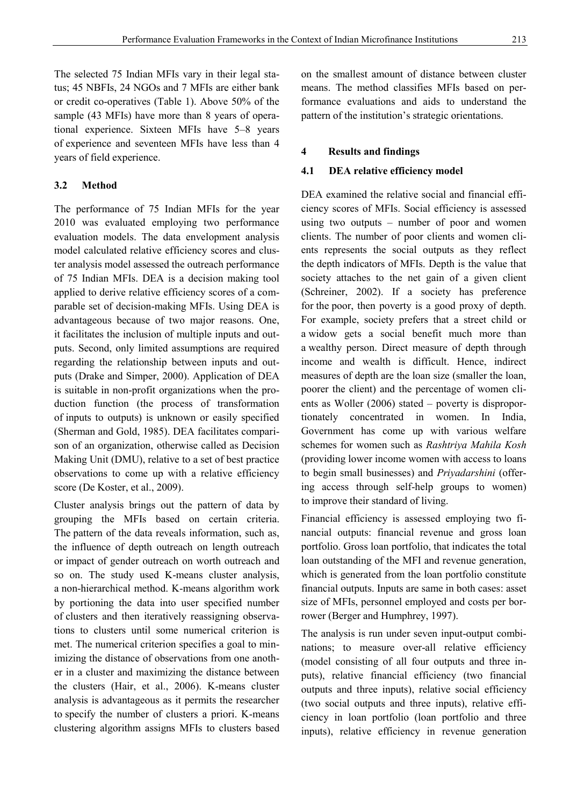The selected 75 Indian MFIs vary in their legal status; 45 NBFIs, 24 NGOs and 7 MFIs are either bank or credit co-operatives (Table 1). Above 50% of the sample (43 MFIs) have more than 8 years of operational experience. Sixteen MFIs have 5–8 years of experience and seventeen MFIs have less than 4 years of field experience.

# **3.2 Method**

The performance of 75 Indian MFIs for the year 2010 was evaluated employing two performance evaluation models. The data envelopment analysis model calculated relative efficiency scores and cluster analysis model assessed the outreach performance of 75 Indian MFIs. DEA is a decision making tool applied to derive relative efficiency scores of a comparable set of decision-making MFIs. Using DEA is advantageous because of two major reasons. One, it facilitates the inclusion of multiple inputs and outputs. Second, only limited assumptions are required regarding the relationship between inputs and outputs (Drake and Simper, 2000). Application of DEA is suitable in non-profit organizations when the production function (the process of transformation of inputs to outputs) is unknown or easily specified (Sherman and Gold, 1985). DEA facilitates comparison of an organization, otherwise called as Decision Making Unit (DMU), relative to a set of best practice observations to come up with a relative efficiency score (De Koster, et al., 2009).

Cluster analysis brings out the pattern of data by grouping the MFIs based on certain criteria. The pattern of the data reveals information, such as, the influence of depth outreach on length outreach or impact of gender outreach on worth outreach and so on. The study used K-means cluster analysis, a non-hierarchical method. K-means algorithm work by portioning the data into user specified number of clusters and then iteratively reassigning observations to clusters until some numerical criterion is met. The numerical criterion specifies a goal to minimizing the distance of observations from one another in a cluster and maximizing the distance between the clusters (Hair, et al., 2006). K-means cluster analysis is advantageous as it permits the researcher to specify the number of clusters a priori. K-means clustering algorithm assigns MFIs to clusters based on the smallest amount of distance between cluster means. The method classifies MFIs based on performance evaluations and aids to understand the pattern of the institution's strategic orientations.

## **4 Results and findings**

## **4.1 DEA relative efficiency model**

DEA examined the relative social and financial efficiency scores of MFIs. Social efficiency is assessed using two outputs – number of poor and women clients. The number of poor clients and women clients represents the social outputs as they reflect the depth indicators of MFIs. Depth is the value that society attaches to the net gain of a given client (Schreiner, 2002). If a society has preference for the poor, then poverty is a good proxy of depth. For example, society prefers that a street child or a widow gets a social benefit much more than a wealthy person. Direct measure of depth through income and wealth is difficult. Hence, indirect measures of depth are the loan size (smaller the loan, poorer the client) and the percentage of women clients as Woller (2006) stated – poverty is disproportionately concentrated in women. In India, Government has come up with various welfare schemes for women such as *Rashtriya Mahila Kosh*  (providing lower income women with access to loans to begin small businesses) and *Priyadarshini* (offering access through self-help groups to women) to improve their standard of living.

Financial efficiency is assessed employing two financial outputs: financial revenue and gross loan portfolio. Gross loan portfolio, that indicates the total loan outstanding of the MFI and revenue generation, which is generated from the loan portfolio constitute financial outputs. Inputs are same in both cases: asset size of MFIs, personnel employed and costs per borrower (Berger and Humphrey, 1997).

The analysis is run under seven input-output combinations; to measure over-all relative efficiency (model consisting of all four outputs and three inputs), relative financial efficiency (two financial outputs and three inputs), relative social efficiency (two social outputs and three inputs), relative efficiency in loan portfolio (loan portfolio and three inputs), relative efficiency in revenue generation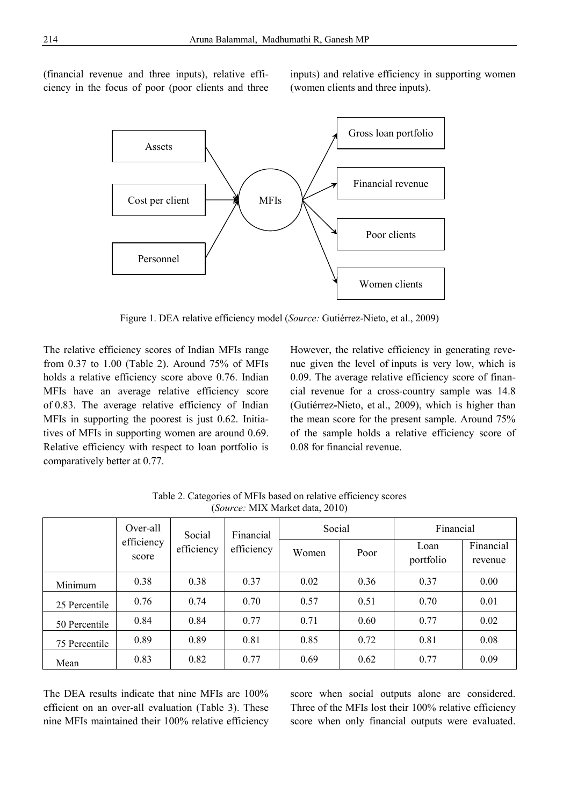(financial revenue and three inputs), relative efficiency in the focus of poor (poor clients and three inputs) and relative efficiency in supporting women (women clients and three inputs).



Figure 1. DEA relative efficiency model (*Source:* Gutiérrez-Nieto, et al., 2009)

The relative efficiency scores of Indian MFIs range from 0.37 to 1.00 (Table 2). Around 75% of MFIs holds a relative efficiency score above 0.76. Indian MFIs have an average relative efficiency score of 0.83. The average relative efficiency of Indian MFIs in supporting the poorest is just 0.62. Initiatives of MFIs in supporting women are around 0.69. Relative efficiency with respect to loan portfolio is comparatively better at 0.77.

However, the relative efficiency in generating revenue given the level of inputs is very low, which is 0.09. The average relative efficiency score of financial revenue for a cross-country sample was 14.8 (Gutiérrez**-**Nieto, et al., 2009), which is higher than the mean score for the present sample. Around 75% of the sample holds a relative efficiency score of 0.08 for financial revenue.

|               | Over-all   | Social     | Financial  | Social |      | Financial         |                      |
|---------------|------------|------------|------------|--------|------|-------------------|----------------------|
| score         | efficiency | efficiency | efficiency | Women  | Poor | Loan<br>portfolio | Financial<br>revenue |
| Minimum       | 0.38       | 0.38       | 0.37       | 0.02   | 0.36 | 0.37              | 0.00                 |
| 25 Percentile | 0.76       | 0.74       | 0.70       | 0.57   | 0.51 | 0.70              | 0.01                 |
| 50 Percentile | 0.84       | 0.84       | 0.77       | 0.71   | 0.60 | 0.77              | 0.02                 |
| 75 Percentile | 0.89       | 0.89       | 0.81       | 0.85   | 0.72 | 0.81              | 0.08                 |
| Mean          | 0.83       | 0.82       | 0.77       | 0.69   | 0.62 | 0.77              | 0.09                 |

Table 2. Categories of MFIs based on relative efficiency scores (*Source:* MIX Market data, 2010)

The DEA results indicate that nine MFIs are 100% efficient on an over-all evaluation (Table 3). These nine MFIs maintained their 100% relative efficiency score when social outputs alone are considered. Three of the MFIs lost their 100% relative efficiency score when only financial outputs were evaluated.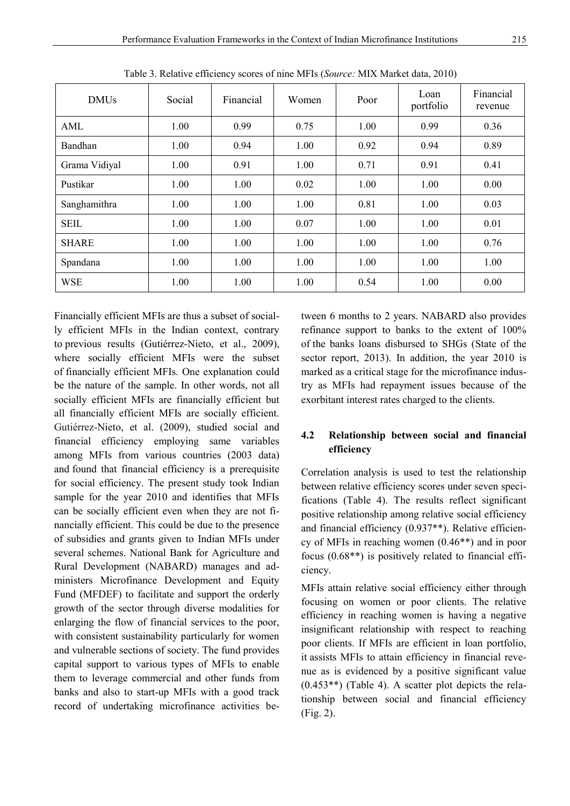| <b>DMUs</b>   | Social | Financial | Women | Poor | Loan<br>portfolio | Financial<br>revenue |
|---------------|--------|-----------|-------|------|-------------------|----------------------|
| AML           | 1.00   | 0.99      | 0.75  | 1.00 | 0.99              | 0.36                 |
| Bandhan       | 1.00   | 0.94      | 1.00  | 0.92 | 0.94              | 0.89                 |
| Grama Vidiyal | 1.00   | 0.91      | 1.00  | 0.71 | 0.91              | 0.41                 |
| Pustikar      | 1.00   | 1.00      | 0.02  | 1.00 | 1.00              | 0.00                 |
| Sanghamithra  | 1.00   | 1.00      | 1.00  | 0.81 | 1.00              | 0.03                 |
| <b>SEIL</b>   | 1.00   | 1.00      | 0.07  | 1.00 | 1.00              | 0.01                 |
| <b>SHARE</b>  | 1.00   | 1.00      | 1.00  | 1.00 | 1.00              | 0.76                 |
| Spandana      | 1.00   | 1.00      | 1.00  | 1.00 | 1.00              | 1.00                 |
| <b>WSE</b>    | 1.00   | 1.00      | 1.00  | 0.54 | 1.00              | 0.00                 |

Table 3. Relative efficiency scores of nine MFIs (*Source:* MIX Market data, 2010)

Financially efficient MFIs are thus a subset of socially efficient MFIs in the Indian context, contrary to previous results (Gutiérrez-Nieto, et al., 2009), where socially efficient MFIs were the subset of financially efficient MFIs. One explanation could be the nature of the sample. In other words, not all socially efficient MFIs are financially efficient but all financially efficient MFIs are socially efficient. Gutiérrez-Nieto, et al. (2009), studied social and financial efficiency employing same variables among MFIs from various countries (2003 data) and found that financial efficiency is a prerequisite for social efficiency. The present study took Indian sample for the year 2010 and identifies that MFIs can be socially efficient even when they are not financially efficient. This could be due to the presence of subsidies and grants given to Indian MFIs under several schemes. National Bank for Agriculture and Rural Development (NABARD) manages and administers Microfinance Development and Equity Fund (MFDEF) to facilitate and support the orderly growth of the sector through diverse modalities for enlarging the flow of financial services to the poor, with consistent sustainability particularly for women and vulnerable sections of society. The fund provides capital support to various types of MFIs to enable them to leverage commercial and other funds from banks and also to start-up MFIs with a good track record of undertaking microfinance activities between 6 months to 2 years. NABARD also provides refinance support to banks to the extent of 100% of the banks loans disbursed to SHGs (State of the sector report, 2013). In addition, the year 2010 is marked as a critical stage for the microfinance industry as MFIs had repayment issues because of the exorbitant interest rates charged to the clients.

# **4.2 Relationship between social and financial efficiency**

Correlation analysis is used to test the relationship between relative efficiency scores under seven specifications (Table 4). The results reflect significant positive relationship among relative social efficiency and financial efficiency (0.937\*\*). Relative efficiency of MFIs in reaching women (0.46\*\*) and in poor focus (0.68\*\*) is positively related to financial efficiency.

MFIs attain relative social efficiency either through focusing on women or poor clients. The relative efficiency in reaching women is having a negative insignificant relationship with respect to reaching poor clients. If MFIs are efficient in loan portfolio, it assists MFIs to attain efficiency in financial revenue as is evidenced by a positive significant value (0.453\*\*) (Table 4). A scatter plot depicts the relationship between social and financial efficiency (Fig. 2).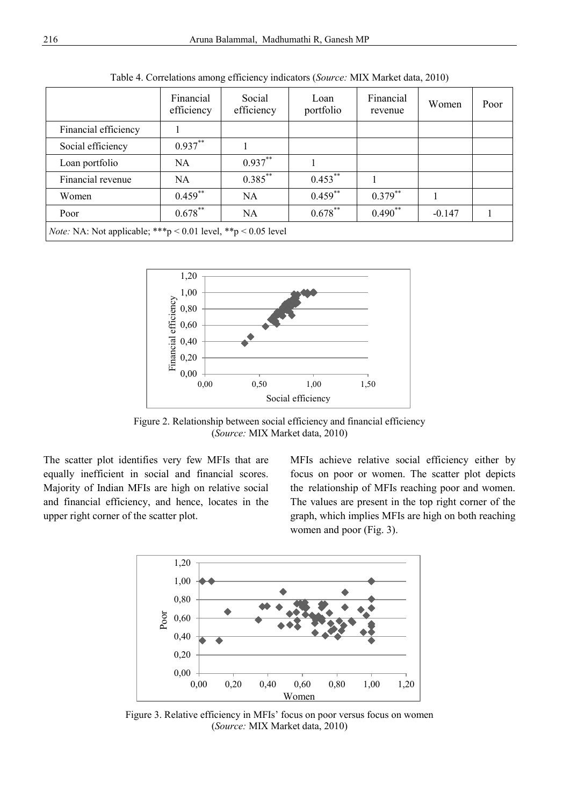|                                                                      | Financial<br>efficiency | Social<br>efficiency | Loan<br>portfolio | Financial<br>revenue | Women    | Poor |
|----------------------------------------------------------------------|-------------------------|----------------------|-------------------|----------------------|----------|------|
| Financial efficiency                                                 |                         |                      |                   |                      |          |      |
| Social efficiency                                                    | $0.937***$              |                      |                   |                      |          |      |
| Loan portfolio                                                       | NA                      | $0.937**$            |                   |                      |          |      |
| Financial revenue                                                    | NA                      | $0.385***$           | $0.453***$        |                      |          |      |
| Women                                                                | $0.459$ **              | <b>NA</b>            | $0.459***$        | $0.379***$           |          |      |
| Poor                                                                 | $0.678***$              | <b>NA</b>            | $0.678***$        | $0.490**$            | $-0.147$ |      |
| <i>Note:</i> NA: Not applicable; ***p < 0.01 level, **p < 0.05 level |                         |                      |                   |                      |          |      |

Table 4. Correlations among efficiency indicators (*Source:* MIX Market data, 2010)



Figure 2. Relationship between social efficiency and financial efficiency (*Source:* MIX Market data, 2010)

The scatter plot identifies very few MFIs that are equally inefficient in social and financial scores. Majority of Indian MFIs are high on relative social and financial efficiency, and hence, locates in the upper right corner of the scatter plot.

MFIs achieve relative social efficiency either by focus on poor or women. The scatter plot depicts the relationship of MFIs reaching poor and women. The values are present in the top right corner of the graph, which implies MFIs are high on both reaching women and poor (Fig. 3).



Figure 3. Relative efficiency in MFIs' focus on poor versus focus on women (*Source:* MIX Market data, 2010)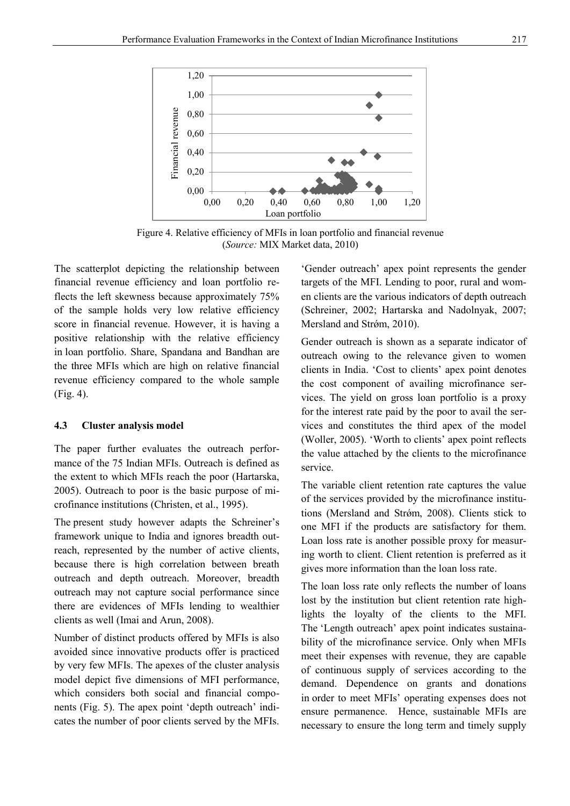

Figure 4. Relative efficiency of MFIs in loan portfolio and financial revenue (*Source:* MIX Market data, 2010)

The scatterplot depicting the relationship between financial revenue efficiency and loan portfolio reflects the left skewness because approximately 75% of the sample holds very low relative efficiency score in financial revenue. However, it is having a positive relationship with the relative efficiency in loan portfolio. Share, Spandana and Bandhan are the three MFIs which are high on relative financial revenue efficiency compared to the whole sample (Fig. 4).

### **4.3 Cluster analysis model**

The paper further evaluates the outreach performance of the 75 Indian MFIs. Outreach is defined as the extent to which MFIs reach the poor (Hartarska, 2005). Outreach to poor is the basic purpose of microfinance institutions (Christen, et al., 1995).

The present study however adapts the Schreiner's framework unique to India and ignores breadth outreach, represented by the number of active clients, because there is high correlation between breath outreach and depth outreach. Moreover, breadth outreach may not capture social performance since there are evidences of MFIs lending to wealthier clients as well (Imai and Arun, 2008).

Number of distinct products offered by MFIs is also avoided since innovative products offer is practiced by very few MFIs. The apexes of the cluster analysis model depict five dimensions of MFI performance, which considers both social and financial components (Fig. 5). The apex point 'depth outreach' indicates the number of poor clients served by the MFIs.

'Gender outreach' apex point represents the gender targets of the MFI. Lending to poor, rural and women clients are the various indicators of depth outreach (Schreiner, 2002; Hartarska and Nadolnyak, 2007; Mersland and Strøm, 2010).

Gender outreach is shown as a separate indicator of outreach owing to the relevance given to women clients in India. 'Cost to clients' apex point denotes the cost component of availing microfinance services. The yield on gross loan portfolio is a proxy for the interest rate paid by the poor to avail the services and constitutes the third apex of the model (Woller, 2005). 'Worth to clients' apex point reflects the value attached by the clients to the microfinance service.

The variable client retention rate captures the value of the services provided by the microfinance institutions (Mersland and Strǿm, 2008). Clients stick to one MFI if the products are satisfactory for them. Loan loss rate is another possible proxy for measuring worth to client. Client retention is preferred as it gives more information than the loan loss rate.

The loan loss rate only reflects the number of loans lost by the institution but client retention rate highlights the loyalty of the clients to the MFI. The 'Length outreach' apex point indicates sustainability of the microfinance service. Only when MFIs meet their expenses with revenue, they are capable of continuous supply of services according to the demand. Dependence on grants and donations in order to meet MFIs' operating expenses does not ensure permanence. Hence, sustainable MFIs are necessary to ensure the long term and timely supply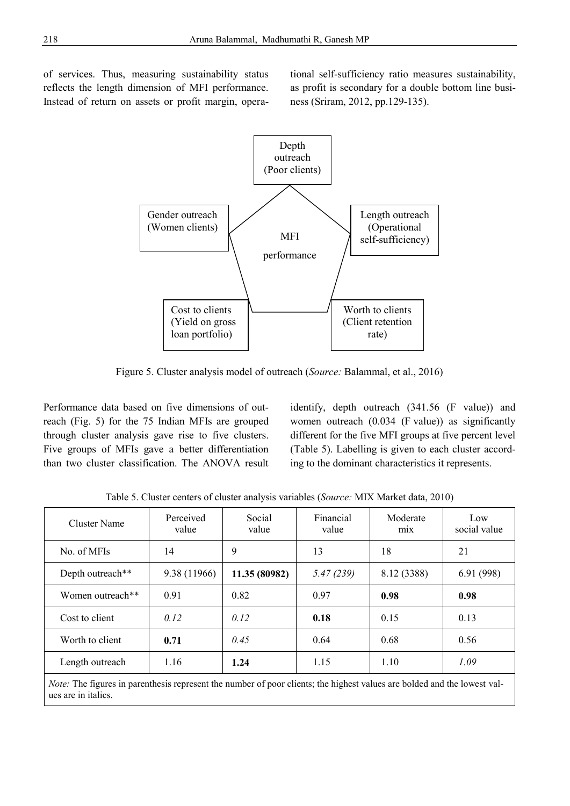of services. Thus, measuring sustainability status reflects the length dimension of MFI performance. Instead of return on assets or profit margin, operational self-sufficiency ratio measures sustainability, as profit is secondary for a double bottom line business (Sriram, 2012, pp.129-135).



Figure 5. Cluster analysis model of outreach (*Source:* Balammal, et al., 2016)

Performance data based on five dimensions of outreach (Fig. 5) for the 75 Indian MFIs are grouped through cluster analysis gave rise to five clusters. Five groups of MFIs gave a better differentiation than two cluster classification. The ANOVA result identify, depth outreach (341.56 (F value)) and women outreach (0.034 (F value)) as significantly different for the five MFI groups at five percent level (Table 5). Labelling is given to each cluster according to the dominant characteristics it represents.

| Cluster Name     | Perceived<br>value | Social<br>value | Financial<br>value | Moderate<br>m <sub>1</sub> x | Low<br>social value |
|------------------|--------------------|-----------------|--------------------|------------------------------|---------------------|
| No. of MFIs      | 14                 | 9               | 13                 | 18                           | 21                  |
| Depth outreach** | 9.38 (11966)       | 11.35 (80982)   | 5.47(239)          | 8.12 (3388)                  | 6.91(998)           |
| Women outreach** | 0.91               | 0.82            | 0.97               | 0.98                         | 0.98                |
| Cost to client   | 0.12               | 0.12            | 0.18               | 0.15                         | 0.13                |
| Worth to client  | 0.71               | 0.45            | 0.64               | 0.68                         | 0.56                |
| Length outreach  | 1.16               | 1.24            | 1.15               | 1.10                         | 1.09                |

Table 5. Cluster centers of cluster analysis variables (*Source:* MIX Market data, 2010)

*Note:* The figures in parenthesis represent the number of poor clients; the highest values are bolded and the lowest values are in italics.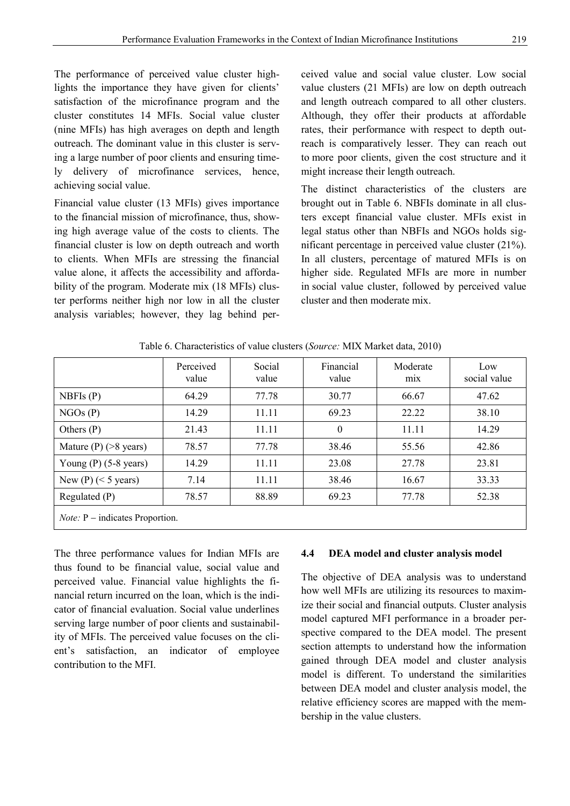The performance of perceived value cluster highlights the importance they have given for clients' satisfaction of the microfinance program and the cluster constitutes 14 MFIs. Social value cluster (nine MFIs) has high averages on depth and length outreach. The dominant value in this cluster is serving a large number of poor clients and ensuring timely delivery of microfinance services, hence, achieving social value.

Financial value cluster (13 MFIs) gives importance to the financial mission of microfinance, thus, showing high average value of the costs to clients. The financial cluster is low on depth outreach and worth to clients. When MFIs are stressing the financial value alone, it affects the accessibility and affordability of the program. Moderate mix (18 MFIs) cluster performs neither high nor low in all the cluster analysis variables; however, they lag behind perceived value and social value cluster. Low social value clusters (21 MFIs) are low on depth outreach and length outreach compared to all other clusters. Although, they offer their products at affordable rates, their performance with respect to depth outreach is comparatively lesser. They can reach out to more poor clients, given the cost structure and it might increase their length outreach.

The distinct characteristics of the clusters are brought out in Table 6. NBFIs dominate in all clusters except financial value cluster. MFIs exist in legal status other than NBFIs and NGOs holds significant percentage in perceived value cluster (21%). In all clusters, percentage of matured MFIs is on higher side. Regulated MFIs are more in number in social value cluster, followed by perceived value cluster and then moderate mix.

|                                          | Perceived<br>value | Social<br>value | Financial<br>value | Moderate<br>mix | Low<br>social value |
|------------------------------------------|--------------------|-----------------|--------------------|-----------------|---------------------|
| NBFIs $(P)$                              | 64.29              | 77.78           | 30.77              | 66.67           | 47.62               |
| NGOs(P)                                  | 14.29              | 11.11           | 69.23              | 22 22           | 38.10               |
| Others $(P)$                             | 21.43              | 11.11           | $\theta$           | 11.11           | 14.29               |
| Mature $(P)$ (>8 years)                  | 78.57              | 77.78           | 38.46              | 55.56           | 42.86               |
| Young $(P)$ (5-8 years)                  | 14.29              | 11.11           | 23.08              | 27.78           | 23.81               |
| New (P) $(< 5$ years)                    | 7.14               | 11.11           | 38.46              | 16.67           | 33.33               |
| Regulated $(P)$                          | 78.57              | 88.89           | 69.23              | 77.78           | 52.38               |
| <i>Note:</i> $P$ – indicates Proportion. |                    |                 |                    |                 |                     |

Table 6. Characteristics of value clusters (*Source:* MIX Market data, 2010)

The three performance values for Indian MFIs are thus found to be financial value, social value and perceived value. Financial value highlights the financial return incurred on the loan, which is the indicator of financial evaluation. Social value underlines serving large number of poor clients and sustainability of MFIs. The perceived value focuses on the client's satisfaction, an indicator of employee contribution to the MFI.

#### **4.4 DEA model and cluster analysis model**

The objective of DEA analysis was to understand how well MFIs are utilizing its resources to maximize their social and financial outputs. Cluster analysis model captured MFI performance in a broader perspective compared to the DEA model. The present section attempts to understand how the information gained through DEA model and cluster analysis model is different. To understand the similarities between DEA model and cluster analysis model, the relative efficiency scores are mapped with the membership in the value clusters.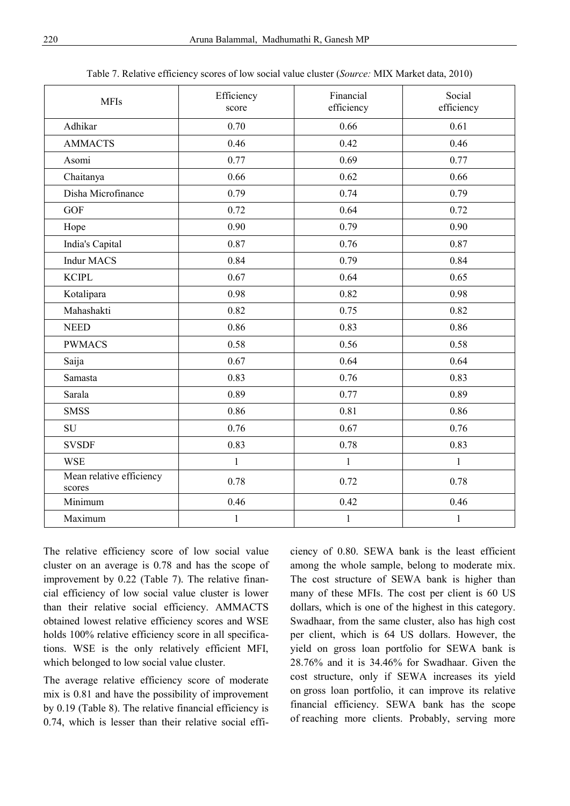| <b>MFIs</b>                        | Efficiency<br>score | Financial<br>efficiency | Social<br>efficiency |
|------------------------------------|---------------------|-------------------------|----------------------|
| Adhikar                            | 0.70                | 0.66                    | 0.61                 |
| <b>AMMACTS</b>                     | 0.46                | 0.42                    | 0.46                 |
| Asomi                              | 0.77                | 0.69                    | 0.77                 |
| Chaitanya                          | 0.66                | 0.62                    | 0.66                 |
| Disha Microfinance                 | 0.79                | 0.74                    | 0.79                 |
| <b>GOF</b>                         | 0.72                | 0.64                    | 0.72                 |
| Hope                               | 0.90                | 0.79                    | 0.90                 |
| India's Capital                    | 0.87                | 0.76                    | 0.87                 |
| <b>Indur MACS</b>                  | 0.84                | 0.79                    | 0.84                 |
| <b>KCIPL</b>                       | 0.67                | 0.64                    | 0.65                 |
| Kotalipara                         | 0.98                | 0.82                    | 0.98                 |
| Mahashakti                         | 0.82                | 0.75                    | 0.82                 |
| <b>NEED</b>                        | 0.86                | 0.83                    | 0.86                 |
| <b>PWMACS</b>                      | 0.58                | 0.56                    | 0.58                 |
| Saija                              | 0.67                | 0.64                    | 0.64                 |
| Samasta                            | 0.83                | 0.76                    | 0.83                 |
| Sarala                             | 0.89                | 0.77                    | 0.89                 |
| <b>SMSS</b>                        | 0.86                | 0.81                    | 0.86                 |
| SU                                 | 0.76                | 0.67                    | 0.76                 |
| <b>SVSDF</b>                       | 0.83                | 0.78                    | 0.83                 |
| <b>WSE</b>                         | $\mathbf{1}$        | $\mathbf{1}$            | $\mathbf{1}$         |
| Mean relative efficiency<br>scores | 0.78                | 0.72                    | 0.78                 |
| Minimum                            | 0.46                | 0.42                    | 0.46                 |
| Maximum                            | $\mathbf{1}$        | $\mathbf{1}$            | $\mathbf{1}$         |
|                                    |                     |                         |                      |

Table 7. Relative efficiency scores of low social value cluster (*Source:* MIX Market data, 2010)

The relative efficiency score of low social value cluster on an average is 0.78 and has the scope of improvement by 0.22 (Table 7). The relative financial efficiency of low social value cluster is lower than their relative social efficiency. AMMACTS obtained lowest relative efficiency scores and WSE holds 100% relative efficiency score in all specifications. WSE is the only relatively efficient MFI, which belonged to low social value cluster.

The average relative efficiency score of moderate mix is 0.81 and have the possibility of improvement by 0.19 (Table 8). The relative financial efficiency is 0.74, which is lesser than their relative social efficiency of 0.80. SEWA bank is the least efficient among the whole sample, belong to moderate mix. The cost structure of SEWA bank is higher than many of these MFIs. The cost per client is 60 US dollars, which is one of the highest in this category. Swadhaar, from the same cluster, also has high cost per client, which is 64 US dollars. However, the yield on gross loan portfolio for SEWA bank is 28.76% and it is 34.46% for Swadhaar. Given the cost structure, only if SEWA increases its yield on gross loan portfolio, it can improve its relative financial efficiency. SEWA bank has the scope of reaching more clients. Probably, serving more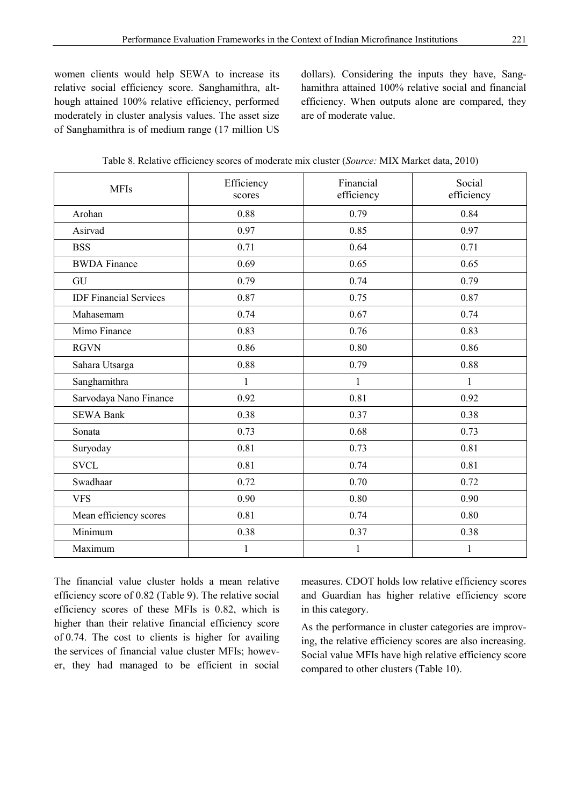women clients would help SEWA to increase its relative social efficiency score. Sanghamithra, although attained 100% relative efficiency, performed moderately in cluster analysis values. The asset size of Sanghamithra is of medium range (17 million US

dollars). Considering the inputs they have, Sanghamithra attained 100% relative social and financial efficiency. When outputs alone are compared, they are of moderate value.

| Financial<br>Social<br>Efficiency<br><b>MFIs</b><br>efficiency<br>efficiency<br>scores<br>0.88<br>0.79<br>0.84<br>Arohan<br>0.97<br>0.85<br>0.97<br>Asirvad<br>0.64<br><b>BSS</b><br>0.71<br>0.71<br><b>BWDA</b> Finance<br>0.69<br>0.65<br>0.65<br>0.79<br>0.74<br>0.79<br>GU<br><b>IDF</b> Financial Services<br>0.87<br>0.75<br>0.87<br>0.67<br>0.74<br>0.74<br>Mahasemam<br>0.83<br>Mimo Finance<br>0.76<br>0.83<br>0.86<br>0.80<br>0.86<br><b>RGVN</b><br>0.88<br>0.79<br>0.88<br>Sahara Utsarga<br>Sanghamithra<br>$\mathbf{1}$<br>$\mathbf{1}$<br>$\mathbf{1}$<br>0.81<br>0.92<br>Sarvodaya Nano Finance<br>0.92<br>0.38<br>0.38<br><b>SEWA Bank</b><br>0.37<br>0.73<br>0.68<br>0.73<br>Sonata<br>0.73<br>0.81<br>0.81<br>Suryoday<br><b>SVCL</b><br>0.81<br>0.74<br>0.81<br>Swadhaar<br>0.72<br>0.70<br>0.72<br>0.80<br>0.90<br>0.90<br><b>VFS</b><br>Mean efficiency scores<br>0.74<br>0.81<br>0.80<br>Minimum<br>0.38<br>0.37<br>0.38<br>Maximum<br>$\mathbf{1}$<br>$\mathbf{1}$<br>$\mathbf{1}$ |  |  |
|------------------------------------------------------------------------------------------------------------------------------------------------------------------------------------------------------------------------------------------------------------------------------------------------------------------------------------------------------------------------------------------------------------------------------------------------------------------------------------------------------------------------------------------------------------------------------------------------------------------------------------------------------------------------------------------------------------------------------------------------------------------------------------------------------------------------------------------------------------------------------------------------------------------------------------------------------------------------------------------------------------|--|--|
|                                                                                                                                                                                                                                                                                                                                                                                                                                                                                                                                                                                                                                                                                                                                                                                                                                                                                                                                                                                                            |  |  |
|                                                                                                                                                                                                                                                                                                                                                                                                                                                                                                                                                                                                                                                                                                                                                                                                                                                                                                                                                                                                            |  |  |
|                                                                                                                                                                                                                                                                                                                                                                                                                                                                                                                                                                                                                                                                                                                                                                                                                                                                                                                                                                                                            |  |  |
|                                                                                                                                                                                                                                                                                                                                                                                                                                                                                                                                                                                                                                                                                                                                                                                                                                                                                                                                                                                                            |  |  |
|                                                                                                                                                                                                                                                                                                                                                                                                                                                                                                                                                                                                                                                                                                                                                                                                                                                                                                                                                                                                            |  |  |
|                                                                                                                                                                                                                                                                                                                                                                                                                                                                                                                                                                                                                                                                                                                                                                                                                                                                                                                                                                                                            |  |  |
|                                                                                                                                                                                                                                                                                                                                                                                                                                                                                                                                                                                                                                                                                                                                                                                                                                                                                                                                                                                                            |  |  |
|                                                                                                                                                                                                                                                                                                                                                                                                                                                                                                                                                                                                                                                                                                                                                                                                                                                                                                                                                                                                            |  |  |
|                                                                                                                                                                                                                                                                                                                                                                                                                                                                                                                                                                                                                                                                                                                                                                                                                                                                                                                                                                                                            |  |  |
|                                                                                                                                                                                                                                                                                                                                                                                                                                                                                                                                                                                                                                                                                                                                                                                                                                                                                                                                                                                                            |  |  |
|                                                                                                                                                                                                                                                                                                                                                                                                                                                                                                                                                                                                                                                                                                                                                                                                                                                                                                                                                                                                            |  |  |
|                                                                                                                                                                                                                                                                                                                                                                                                                                                                                                                                                                                                                                                                                                                                                                                                                                                                                                                                                                                                            |  |  |
|                                                                                                                                                                                                                                                                                                                                                                                                                                                                                                                                                                                                                                                                                                                                                                                                                                                                                                                                                                                                            |  |  |
|                                                                                                                                                                                                                                                                                                                                                                                                                                                                                                                                                                                                                                                                                                                                                                                                                                                                                                                                                                                                            |  |  |
|                                                                                                                                                                                                                                                                                                                                                                                                                                                                                                                                                                                                                                                                                                                                                                                                                                                                                                                                                                                                            |  |  |
|                                                                                                                                                                                                                                                                                                                                                                                                                                                                                                                                                                                                                                                                                                                                                                                                                                                                                                                                                                                                            |  |  |
|                                                                                                                                                                                                                                                                                                                                                                                                                                                                                                                                                                                                                                                                                                                                                                                                                                                                                                                                                                                                            |  |  |
|                                                                                                                                                                                                                                                                                                                                                                                                                                                                                                                                                                                                                                                                                                                                                                                                                                                                                                                                                                                                            |  |  |
|                                                                                                                                                                                                                                                                                                                                                                                                                                                                                                                                                                                                                                                                                                                                                                                                                                                                                                                                                                                                            |  |  |
|                                                                                                                                                                                                                                                                                                                                                                                                                                                                                                                                                                                                                                                                                                                                                                                                                                                                                                                                                                                                            |  |  |
|                                                                                                                                                                                                                                                                                                                                                                                                                                                                                                                                                                                                                                                                                                                                                                                                                                                                                                                                                                                                            |  |  |
|                                                                                                                                                                                                                                                                                                                                                                                                                                                                                                                                                                                                                                                                                                                                                                                                                                                                                                                                                                                                            |  |  |

The financial value cluster holds a mean relative efficiency score of 0.82 (Table 9). The relative social efficiency scores of these MFIs is 0.82, which is higher than their relative financial efficiency score of 0.74. The cost to clients is higher for availing the services of financial value cluster MFIs; however, they had managed to be efficient in social measures. CDOT holds low relative efficiency scores and Guardian has higher relative efficiency score in this category.

As the performance in cluster categories are improving, the relative efficiency scores are also increasing. Social value MFIs have high relative efficiency score compared to other clusters (Table 10).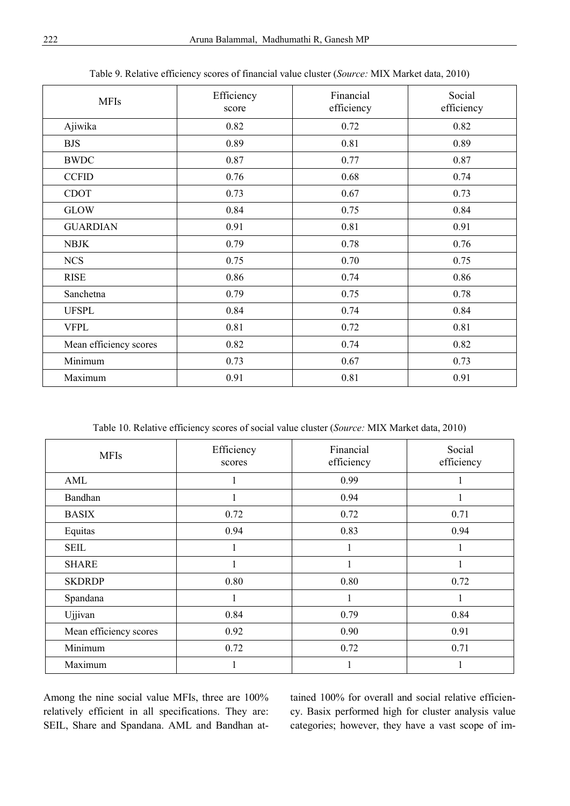| <b>MFIs</b>            | Efficiency<br>score | Financial<br>efficiency | Social<br>efficiency |
|------------------------|---------------------|-------------------------|----------------------|
| Ajiwika                | 0.82                | 0.72                    | 0.82                 |
| <b>BJS</b>             | 0.89                | 0.81                    | 0.89                 |
| <b>BWDC</b>            | 0.87                | 0.77                    | 0.87                 |
| <b>CCFID</b>           | 0.76                | 0.68                    | 0.74                 |
| <b>CDOT</b>            | 0.73                | 0.67                    | 0.73                 |
| <b>GLOW</b>            | 0.84                | 0.75                    | 0.84                 |
| <b>GUARDIAN</b>        | 0.91                | 0.81                    | 0.91                 |
| <b>NBJK</b>            | 0.79                | 0.78                    | 0.76                 |
| <b>NCS</b>             | 0.75                | 0.70                    | 0.75                 |
| <b>RISE</b>            | 0.86                | 0.74                    | 0.86                 |
| Sanchetna              | 0.79                | 0.75                    | 0.78                 |
| <b>UFSPL</b>           | 0.84                | 0.74                    | 0.84                 |
| <b>VFPL</b>            | 0.81                | 0.72                    | 0.81                 |
| Mean efficiency scores | 0.82                | 0.74                    | 0.82                 |
| Minimum                | 0.73                | 0.67                    | 0.73                 |
| Maximum                | 0.91                | 0.81                    | 0.91                 |

Table 9. Relative efficiency scores of financial value cluster (*Source:* MIX Market data, 2010)

Table 10. Relative efficiency scores of social value cluster (*Source:* MIX Market data, 2010)

| <b>MFIs</b>            | Efficiency<br>scores | Financial<br>efficiency | Social<br>efficiency |
|------------------------|----------------------|-------------------------|----------------------|
| AML                    |                      | 0.99                    |                      |
| Bandhan                |                      | 0.94                    |                      |
| <b>BASIX</b>           | 0.72                 | 0.72                    | 0.71                 |
| Equitas                | 0.94                 | 0.83                    | 0.94                 |
| <b>SEIL</b>            | 1                    | 1                       |                      |
| <b>SHARE</b>           | 1                    |                         |                      |
| <b>SKDRDP</b>          | 0.80                 | 0.80                    | 0.72                 |
| Spandana               | 1                    | 1                       |                      |
| Ujjivan                | 0.84                 | 0.79                    | 0.84                 |
| Mean efficiency scores | 0.92                 | 0.90                    | 0.91                 |
| Minimum                | 0.72                 | 0.72                    | 0.71                 |
| Maximum                |                      |                         |                      |

Among the nine social value MFIs, three are 100% relatively efficient in all specifications. They are: SEIL, Share and Spandana. AML and Bandhan at-

tained 100% for overall and social relative efficiency. Basix performed high for cluster analysis value categories; however, they have a vast scope of im-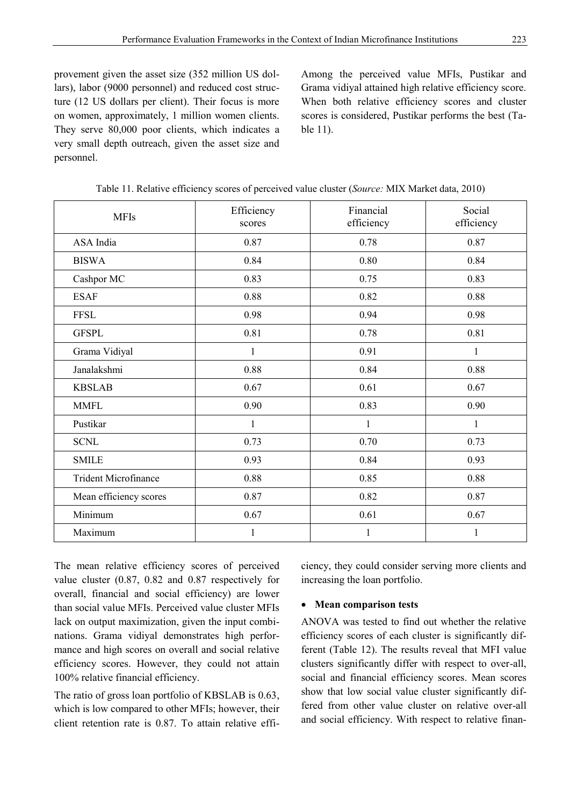provement given the asset size (352 million US dollars), labor (9000 personnel) and reduced cost structure (12 US dollars per client). Their focus is more on women, approximately, 1 million women clients. They serve 80,000 poor clients, which indicates a very small depth outreach, given the asset size and personnel.

Among the perceived value MFIs, Pustikar and Grama vidiyal attained high relative efficiency score. When both relative efficiency scores and cluster scores is considered, Pustikar performs the best (Table 11).

| <b>MFIs</b>                 | Efficiency<br>scores | Financial<br>efficiency | Social<br>efficiency |
|-----------------------------|----------------------|-------------------------|----------------------|
| ASA India                   | 0.87                 | 0.78                    | 0.87                 |
| <b>BISWA</b>                | 0.84                 | 0.80                    | 0.84                 |
| Cashpor MC                  | 0.83                 | 0.75                    | 0.83                 |
| <b>ESAF</b>                 | 0.88                 | 0.82                    | 0.88                 |
| <b>FFSL</b>                 | 0.98                 | 0.94                    | 0.98                 |
| <b>GFSPL</b>                | 0.81                 | 0.78                    | 0.81                 |
| Grama Vidiyal               | $\mathbf{1}$         | 0.91                    | $\mathbf{1}$         |
| Janalakshmi                 | 0.88                 | 0.84                    | 0.88                 |
| <b>KBSLAB</b>               | 0.67                 | 0.61                    | 0.67                 |
| <b>MMFL</b>                 | 0.90                 | 0.83                    | 0.90                 |
| Pustikar                    | $\mathbf{1}$         | 1                       | $\mathbf{1}$         |
| <b>SCNL</b>                 | 0.73                 | 0.70                    | 0.73                 |
| <b>SMILE</b>                | 0.93                 | 0.84                    | 0.93                 |
| <b>Trident Microfinance</b> | 0.88                 | 0.85                    | 0.88                 |
| Mean efficiency scores      | 0.87                 | 0.82                    | 0.87                 |
| Minimum                     | 0.67                 | 0.61                    | 0.67                 |
| Maximum                     | $\mathbf{1}$         | 1                       | $\mathbf{1}$         |

Table 11. Relative efficiency scores of perceived value cluster (*Source:* MIX Market data, 2010)

The mean relative efficiency scores of perceived value cluster (0.87, 0.82 and 0.87 respectively for overall, financial and social efficiency) are lower than social value MFIs. Perceived value cluster MFIs lack on output maximization, given the input combinations. Grama vidiyal demonstrates high performance and high scores on overall and social relative efficiency scores. However, they could not attain 100% relative financial efficiency.

The ratio of gross loan portfolio of KBSLAB is 0.63, which is low compared to other MFIs; however, their client retention rate is 0.87. To attain relative efficiency, they could consider serving more clients and increasing the loan portfolio.

#### **Mean comparison tests**

ANOVA was tested to find out whether the relative efficiency scores of each cluster is significantly different (Table 12). The results reveal that MFI value clusters significantly differ with respect to over-all, social and financial efficiency scores. Mean scores show that low social value cluster significantly differed from other value cluster on relative over-all and social efficiency. With respect to relative finan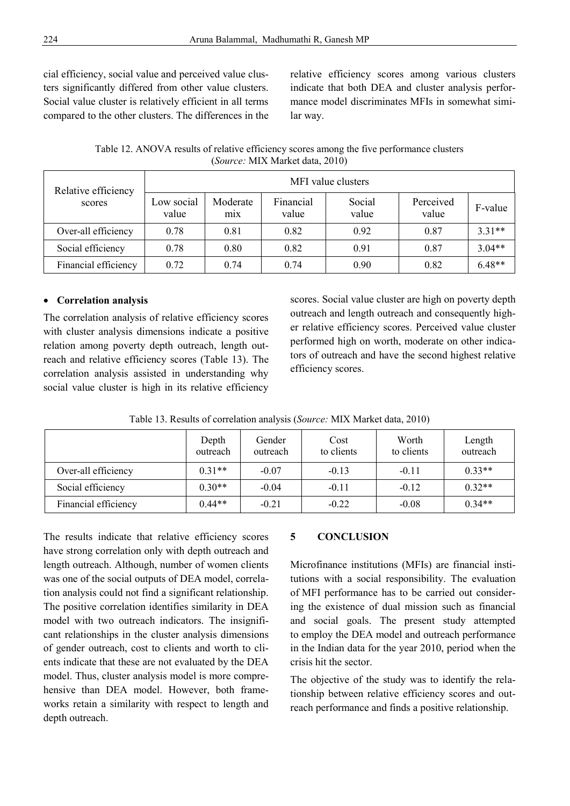cial efficiency, social value and perceived value clusters significantly differed from other value clusters. Social value cluster is relatively efficient in all terms compared to the other clusters. The differences in the

relative efficiency scores among various clusters indicate that both DEA and cluster analysis performance model discriminates MFIs in somewhat similar way.

Table 12. ANOVA results of relative efficiency scores among the five performance clusters (*Source:* MIX Market data, 2010)

| Relative efficiency<br>scores | MFI value clusters  |                              |                    |                 |                    |          |  |  |
|-------------------------------|---------------------|------------------------------|--------------------|-----------------|--------------------|----------|--|--|
|                               | Low social<br>value | Moderate<br>m <sub>1</sub> x | Financial<br>value | Social<br>value | Perceived<br>value | F-value  |  |  |
| Over-all efficiency           | 0.78                | 0.81                         | 0.82               | 0.92            | 0.87               | $3.31**$ |  |  |
| Social efficiency             | 0.78                | 0.80                         | 0.82               | 0.91            | 0.87               | $3.04**$ |  |  |
| Financial efficiency          | 0.72                | 0.74                         | 0.74               | 0.90            | 0.82               | $6.48**$ |  |  |

#### **Correlation analysis**

The correlation analysis of relative efficiency scores with cluster analysis dimensions indicate a positive relation among poverty depth outreach, length outreach and relative efficiency scores (Table 13). The correlation analysis assisted in understanding why social value cluster is high in its relative efficiency

scores. Social value cluster are high on poverty depth outreach and length outreach and consequently higher relative efficiency scores. Perceived value cluster performed high on worth, moderate on other indicators of outreach and have the second highest relative efficiency scores.

|                      | Depth<br>outreach | Gender<br>outreach | Cost<br>to clients | Worth<br>to clients | Length<br>outreach |
|----------------------|-------------------|--------------------|--------------------|---------------------|--------------------|
| Over-all efficiency  | $0.31**$          | $-0.07$            | $-0.13$            | $-0.11$             | $0.33**$           |
| Social efficiency    | $0.30**$          | $-0.04$            | $-0.11$            | $-0.12$             | $0.32**$           |
| Financial efficiency | $0.44**$          | $-0.21$            | $-0.22$            | $-0.08$             | $0.34**$           |

Table 13. Results of correlation analysis (*Source:* MIX Market data, 2010)

The results indicate that relative efficiency scores have strong correlation only with depth outreach and length outreach. Although, number of women clients was one of the social outputs of DEA model, correlation analysis could not find a significant relationship. The positive correlation identifies similarity in DEA model with two outreach indicators. The insignificant relationships in the cluster analysis dimensions of gender outreach, cost to clients and worth to clients indicate that these are not evaluated by the DEA model. Thus, cluster analysis model is more comprehensive than DEA model. However, both frameworks retain a similarity with respect to length and depth outreach.

#### **5 CONCLUSION**

Microfinance institutions (MFIs) are financial institutions with a social responsibility. The evaluation of MFI performance has to be carried out considering the existence of dual mission such as financial and social goals. The present study attempted to employ the DEA model and outreach performance in the Indian data for the year 2010, period when the crisis hit the sector.

The objective of the study was to identify the relationship between relative efficiency scores and outreach performance and finds a positive relationship.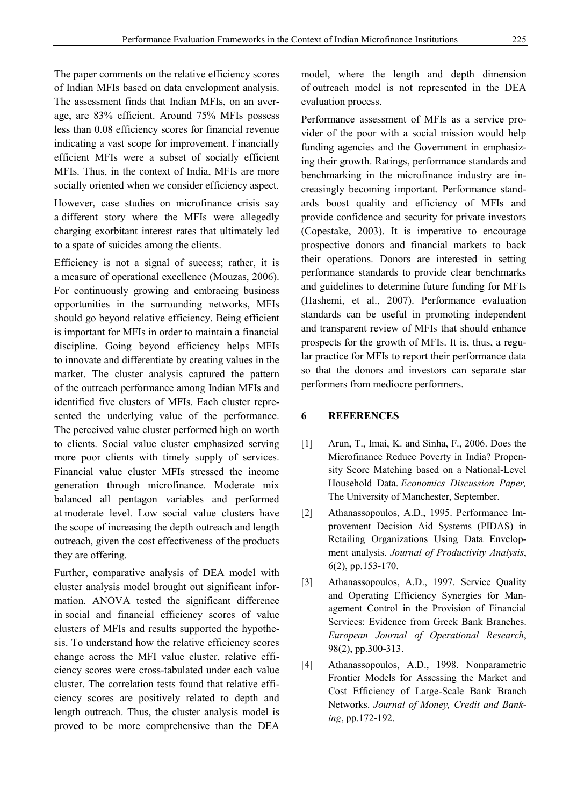The paper comments on the relative efficiency scores of Indian MFIs based on data envelopment analysis. The assessment finds that Indian MFIs, on an average, are 83% efficient. Around 75% MFIs possess less than 0.08 efficiency scores for financial revenue indicating a vast scope for improvement. Financially efficient MFIs were a subset of socially efficient MFIs. Thus, in the context of India, MFIs are more socially oriented when we consider efficiency aspect.

However, case studies on microfinance crisis say a different story where the MFIs were allegedly charging exorbitant interest rates that ultimately led to a spate of suicides among the clients.

Efficiency is not a signal of success; rather, it is a measure of operational excellence (Mouzas, 2006). For continuously growing and embracing business opportunities in the surrounding networks, MFIs should go beyond relative efficiency. Being efficient is important for MFIs in order to maintain a financial discipline. Going beyond efficiency helps MFIs to innovate and differentiate by creating values in the market. The cluster analysis captured the pattern of the outreach performance among Indian MFIs and identified five clusters of MFIs. Each cluster represented the underlying value of the performance. The perceived value cluster performed high on worth to clients. Social value cluster emphasized serving more poor clients with timely supply of services. Financial value cluster MFIs stressed the income generation through microfinance. Moderate mix balanced all pentagon variables and performed at moderate level. Low social value clusters have the scope of increasing the depth outreach and length outreach, given the cost effectiveness of the products they are offering.

Further, comparative analysis of DEA model with cluster analysis model brought out significant information. ANOVA tested the significant difference in social and financial efficiency scores of value clusters of MFIs and results supported the hypothesis. To understand how the relative efficiency scores change across the MFI value cluster, relative efficiency scores were cross-tabulated under each value cluster. The correlation tests found that relative efficiency scores are positively related to depth and length outreach. Thus, the cluster analysis model is proved to be more comprehensive than the DEA

model, where the length and depth dimension of outreach model is not represented in the DEA evaluation process.

Performance assessment of MFIs as a service provider of the poor with a social mission would help funding agencies and the Government in emphasizing their growth. Ratings, performance standards and benchmarking in the microfinance industry are increasingly becoming important. Performance standards boost quality and efficiency of MFIs and provide confidence and security for private investors (Copestake, 2003). It is imperative to encourage prospective donors and financial markets to back their operations. Donors are interested in setting performance standards to provide clear benchmarks and guidelines to determine future funding for MFIs (Hashemi, et al., 2007). Performance evaluation standards can be useful in promoting independent and transparent review of MFIs that should enhance prospects for the growth of MFIs. It is, thus, a regular practice for MFIs to report their performance data so that the donors and investors can separate star performers from mediocre performers.

#### **6 REFERENCES**

- [1] Arun, T., Imai, K. and Sinha, F., 2006. Does the Microfinance Reduce Poverty in India? Propensity Score Matching based on a National-Level Household Data. *Economics Discussion Paper,*  The University of Manchester, September.
- [2] Athanassopoulos, A.D., 1995. Performance Improvement Decision Aid Systems (PIDAS) in Retailing Organizations Using Data Envelopment analysis. *Journal of Productivity Analysis*, 6(2), pp.153-170.
- [3] Athanassopoulos, A.D., 1997. Service Quality and Operating Efficiency Synergies for Management Control in the Provision of Financial Services: Evidence from Greek Bank Branches. *European Journal of Operational Research*, 98(2), pp.300-313.
- [4] Athanassopoulos, A.D., 1998. Nonparametric Frontier Models for Assessing the Market and Cost Efficiency of Large-Scale Bank Branch Networks. *Journal of Money, Credit and Banking*, pp.172-192.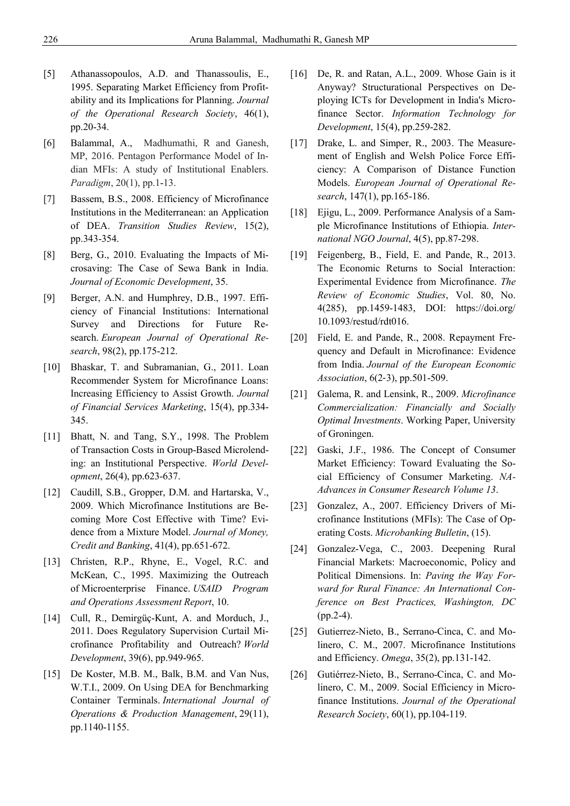- [5] Athanassopoulos, A.D. and Thanassoulis, E., 1995. Separating Market Efficiency from Profitability and its Implications for Planning. *Journal of the Operational Research Society*, 46(1), pp.20-34.
- [6] Balammal, A., Madhumathi, R and Ganesh, MP, 2016. Pentagon Performance Model of Indian MFIs: A study of Institutional Enablers. *Paradigm*, 20(1), pp.1-13.
- [7] Bassem, B.S., 2008. Efficiency of Microfinance Institutions in the Mediterranean: an Application of DEA. *Transition Studies Review*, 15(2), pp.343-354.
- [8] Berg, G., 2010. Evaluating the Impacts of Microsaving: The Case of Sewa Bank in India. *Journal of Economic Development*, 35.
- [9] Berger, A.N. and Humphrey, D.B., 1997. Efficiency of Financial Institutions: International Survey and Directions for Future Research. *European Journal of Operational Research*, 98(2), pp.175-212.
- [10] Bhaskar, T. and Subramanian, G., 2011. Loan Recommender System for Microfinance Loans: Increasing Efficiency to Assist Growth. *Journal of Financial Services Marketing*, 15(4), pp.334- 345.
- [11] Bhatt, N. and Tang, S.Y., 1998. The Problem of Transaction Costs in Group-Based Microlending: an Institutional Perspective. *World Development*, 26(4), pp.623-637.
- [12] Caudill, S.B., Gropper, D.M. and Hartarska, V., 2009. Which Microfinance Institutions are Becoming More Cost Effective with Time? Evidence from a Mixture Model. *Journal of Money, Credit and Banking*, 41(4), pp.651-672.
- [13] Christen, R.P., Rhyne, E., Vogel, R.C. and McKean, C., 1995. Maximizing the Outreach of Microenterprise Finance. *USAID Program and Operations Assessment Report*, 10.
- [14] Cull, R., Demirgüç-Kunt, A. and Morduch, J., 2011. Does Regulatory Supervision Curtail Microfinance Profitability and Outreach? *World Development*, 39(6), pp.949-965.
- [15] De Koster, M.B. M., Balk, B.M. and Van Nus, W.T.I., 2009. On Using DEA for Benchmarking Container Terminals. *International Journal of Operations & Production Management*, 29(11), pp.1140-1155.
- [16] De, R. and Ratan, A.L., 2009. Whose Gain is it Anyway? Structurational Perspectives on Deploying ICTs for Development in India's Microfinance Sector. *Information Technology for Development*, 15(4), pp.259-282.
- [17] Drake, L. and Simper, R., 2003. The Measurement of English and Welsh Police Force Efficiency: A Comparison of Distance Function Models. *European Journal of Operational Research*, 147(1), pp.165-186.
- [18] Ejigu, L., 2009. Performance Analysis of a Sample Microfinance Institutions of Ethiopia. *International NGO Journal*, 4(5), pp.87-298.
- [19] Feigenberg, B., Field, E. and Pande, R., 2013. The Economic Returns to Social Interaction: Experimental Evidence from Microfinance. *The Review of Economic Studies*, Vol. 80, No. 4(285), pp.1459-1483, DOI: https://doi.org/ 10.1093/restud/rdt016.
- [20] Field, E. and Pande, R., 2008. Repayment Frequency and Default in Microfinance: Evidence from India. *Journal of the European Economic Association*, 6(2‐3), pp.501-509.
- [21] Galema, R. and Lensink, R., 2009. *Microfinance Commercialization: Financially and Socially Optimal Investments*. Working Paper, University of Groningen.
- [22] Gaski, J.F., 1986. The Concept of Consumer Market Efficiency: Toward Evaluating the Social Efficiency of Consumer Marketing. *NA-Advances in Consumer Research Volume 13*.
- [23] Gonzalez, A., 2007. Efficiency Drivers of Microfinance Institutions (MFIs): The Case of Operating Costs. *Microbanking Bulletin*, (15).
- [24] Gonzalez-Vega, C., 2003. Deepening Rural Financial Markets: Macroeconomic, Policy and Political Dimensions. In: *Paving the Way Forward for Rural Finance: An International Conference on Best Practices, Washington, DC* (pp.2-4).
- [25] Gutierrez-Nieto, B., Serrano-Cinca, C. and Molinero, C. M., 2007. Microfinance Institutions and Efficiency. *Omega*, 35(2), pp.131-142.
- [26] Gutiérrez-Nieto, B., Serrano-Cinca, C. and Molinero, C. M., 2009. Social Efficiency in Microfinance Institutions. *Journal of the Operational Research Society*, 60(1), pp.104-119.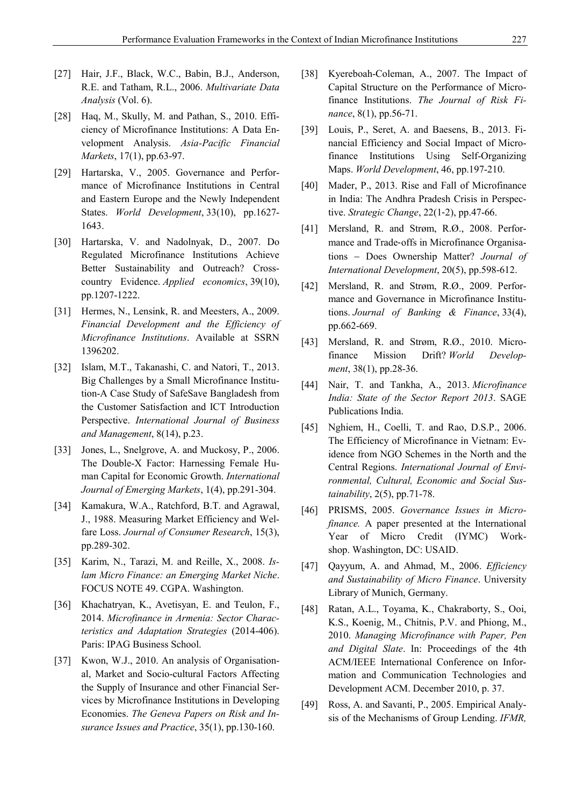- [27] Hair, J.F., Black, W.C., Babin, B.J., Anderson, R.E. and Tatham, R.L., 2006. *Multivariate Data Analysis* (Vol. 6).
- [28] Haq, M., Skully, M. and Pathan, S., 2010. Efficiency of Microfinance Institutions: A Data Envelopment Analysis. *Asia-Pacific Financial Markets*, 17(1), pp.63-97.
- [29] Hartarska, V., 2005. Governance and Performance of Microfinance Institutions in Central and Eastern Europe and the Newly Independent States. *World Development*, 33(10), pp.1627- 1643.
- [30] Hartarska, V. and Nadolnyak, D., 2007. Do Regulated Microfinance Institutions Achieve Better Sustainability and Outreach? Crosscountry Evidence. *Applied economics*, 39(10), pp.1207-1222.
- [31] Hermes, N., Lensink, R. and Meesters, A., 2009. *Financial Development and the Efficiency of Microfinance Institutions*. Available at SSRN 1396202.
- [32] Islam, M.T., Takanashi, C. and Natori, T., 2013. Big Challenges by a Small Microfinance Institution-A Case Study of SafeSave Bangladesh from the Customer Satisfaction and ICT Introduction Perspective. *International Journal of Business and Management*, 8(14), p.23.
- [33] Jones, L., Snelgrove, A. and Muckosy, P., 2006. The Double-X Factor: Harnessing Female Human Capital for Economic Growth. *International Journal of Emerging Markets*, 1(4), pp.291-304.
- [34] Kamakura, W.A., Ratchford, B.T. and Agrawal, J., 1988. Measuring Market Efficiency and Welfare Loss. *Journal of Consumer Research*, 15(3), pp.289-302.
- [35] Karim, N., Tarazi, M. and Reille, X., 2008. *Islam Micro Finance: an Emerging Market Niche*. FOCUS NOTE 49. CGPA. Washington.
- [36] Khachatryan, K., Avetisyan, E. and Teulon, F., 2014. *Microfinance in Armenia: Sector Characteristics and Adaptation Strategies* (2014-406). Paris: IPAG Business School.
- [37] Kwon, W.J., 2010. An analysis of Organisational, Market and Socio-cultural Factors Affecting the Supply of Insurance and other Financial Services by Microfinance Institutions in Developing Economies. *The Geneva Papers on Risk and Insurance Issues and Practice*, 35(1), pp.130-160.
- [38] Kyereboah-Coleman, A., 2007. The Impact of Capital Structure on the Performance of Microfinance Institutions. *The Journal of Risk Finance*, 8(1), pp.56-71.
- [39] Louis, P., Seret, A. and Baesens, B., 2013. Financial Efficiency and Social Impact of Microfinance Institutions Using Self-Organizing Maps. *World Development*, 46, pp.197-210.
- [40] Mader, P., 2013. Rise and Fall of Microfinance in India: The Andhra Pradesh Crisis in Perspective. *Strategic Change*, 22(1‐2), pp.47-66.
- [41] Mersland, R. and Strøm, R.Ø., 2008. Performance and Trade‐offs in Microfinance Organisations - Does Ownership Matter? Journal of *International Development*, 20(5), pp.598-612.
- [42] Mersland, R. and Strøm, R.Ø., 2009. Performance and Governance in Microfinance Institutions. *Journal of Banking & Finance*, 33(4), pp.662-669.
- [43] Mersland, R. and Strøm, R.Ø., 2010. Microfinance Mission Drift? *World Development*, 38(1), pp.28-36.
- [44] Nair, T. and Tankha, A., 2013. *Microfinance India: State of the Sector Report 2013*. SAGE Publications India.
- [45] Nghiem, H., Coelli, T. and Rao, D.S.P., 2006. The Efficiency of Microfinance in Vietnam: Evidence from NGO Schemes in the North and the Central Regions. *International Journal of Environmental, Cultural, Economic and Social Sustainability*, 2(5), pp.71-78.
- [46] PRISMS, 2005. *Governance Issues in Microfinance.* A paper presented at the International Year of Micro Credit (IYMC) Workshop. Washington, DC: USAID.
- [47] Qayyum, A. and Ahmad, M., 2006. *Efficiency and Sustainability of Micro Finance*. University Library of Munich, Germany.
- [48] Ratan, A.L., Toyama, K., Chakraborty, S., Ooi, K.S., Koenig, M., Chitnis, P.V. and Phiong, M., 2010. *Managing Microfinance with Paper, Pen and Digital Slate*. In: Proceedings of the 4th ACM/IEEE International Conference on Information and Communication Technologies and Development ACM. December 2010, p. 37.
- [49] Ross, A. and Savanti, P., 2005. Empirical Analysis of the Mechanisms of Group Lending. *IFMR,*